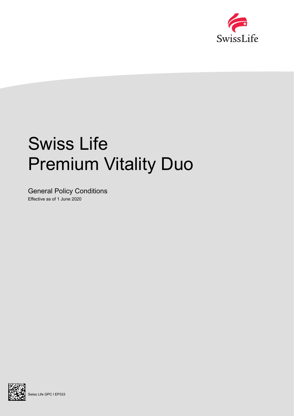

# Swiss Life Premium Vitality Duo

General Policy Conditions Effective as of 1 June 2020



Swiss Life GPC I EP333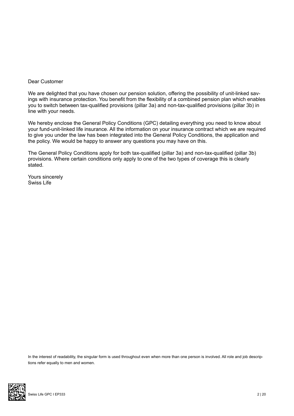# Dear Customer

We are delighted that you have chosen our pension solution, offering the possibility of unit-linked savings with insurance protection. You benefit from the flexibility of a combined pension plan which enables you to switch between tax-qualified provisions (pillar 3a) and non-tax-qualified provisions (pillar 3b) in line with your needs.

We hereby enclose the General Policy Conditions (GPC) detailing everything you need to know about your fund-unit-linked life insurance. All the information on your insurance contract which we are required to give you under the law has been integrated into the General Policy Conditions, the application and the policy. We would be happy to answer any questions you may have on this.

The General Policy Conditions apply for both tax-qualified (pillar 3a) and non-tax-qualified (pillar 3b) provisions. Where certain conditions only apply to one of the two types of coverage this is clearly stated.

Yours sincerely Swiss Life

In the interest of readability, the singular form is used throughout even when more than one person is involved. All role and job descriptions refer equally to men and women.

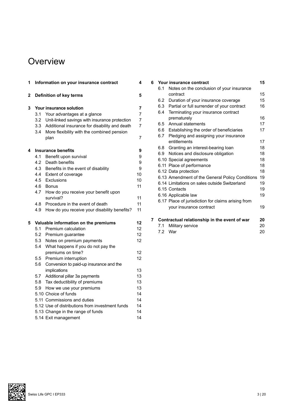# **Overview**

| 1            |                                      | Information on your insurance contract                    | 4        |
|--------------|--------------------------------------|-----------------------------------------------------------|----------|
| $\mathbf{2}$ |                                      | Definition of key terms                                   | 5        |
| 3            |                                      | Your insurance solution                                   | 7        |
|              | 3.1                                  | Your advantages at a glance                               | 7        |
|              |                                      | 3.2 Unit-linked savings with insurance protection         | 7        |
|              |                                      | 3.3 Additional insurance for disability and death         | 7        |
|              | 3.4                                  | More flexibility with the combined pension<br>plan        | 7        |
| 4            |                                      | <b>Insurance benefits</b>                                 | 9        |
|              | 4.1                                  | Benefit upon survival                                     | 9        |
|              | 4.2                                  | Death benefits                                            | 9        |
|              | 4.3                                  | Benefits in the event of disability                       | 9        |
|              |                                      | 4.4 Extent of coverage                                    | 10       |
|              |                                      | 4.5 Exclusions                                            | 10       |
|              | 4.6                                  | <b>Bonus</b>                                              | 11       |
|              | 4.7                                  | How do you receive your benefit upon                      |          |
|              |                                      | survival?                                                 | 11       |
|              | 4.8                                  | Procedure in the event of death                           | 11       |
|              | 4.9                                  | How do you receive your disability benefits?              | 11       |
| 5            | Valuable information on the premiums |                                                           | 12       |
|              | 5.1                                  | Premium calculation                                       | 12       |
|              | 5.2                                  | Premium guarantee                                         | 12       |
|              | 5.3                                  | Notes on premium payments                                 | 12       |
|              | 5.4                                  | What happens if you do not pay the                        |          |
|              |                                      | premiums on time?                                         | 12       |
|              |                                      | 5.5 Premium interruption                                  | 12       |
|              | 5.6                                  | Conversion to paid-up insurance and the                   |          |
|              |                                      | implications                                              | 13       |
|              | 5.7                                  | Additional pillar 3a payments                             | 13       |
|              | 5.8                                  | Tax deductibility of premiums                             | 13       |
|              | 5.9                                  | How we use your premiums                                  | 13       |
|              |                                      | 5.10 Choice of funds                                      | 14       |
|              |                                      | 5.11 Commissions and duties                               | 14<br>14 |
|              |                                      | 5.12 Use of distributions from investment funds           | 14       |
|              |                                      | 5.13 Change in the range of funds<br>5.14 Exit management | 14       |
|              |                                      |                                                           |          |

| 6 |     | Your insurance contract                            | 15 |
|---|-----|----------------------------------------------------|----|
|   | 6.1 | Notes on the conclusion of your insurance          |    |
|   |     | contract                                           | 15 |
|   |     | 6.2 Duration of your insurance coverage            | 15 |
|   |     | 6.3 Partial or full surrender of your contract     | 16 |
|   | 6.4 | Terminating your insurance contract                |    |
|   |     | prematurely                                        | 16 |
|   |     | 6.5 Annual statements                              | 17 |
|   |     | 6.6 Establishing the order of beneficiaries        | 17 |
|   |     | 6.7 Pledging and assigning your insurance          |    |
|   |     | entitlements                                       | 17 |
|   |     | 6.8 Granting an interest-bearing loan              | 18 |
|   |     | 6.9 Notices and disclosure obligation              | 18 |
|   |     | 6.10 Special agreements                            | 18 |
|   |     | 6.11 Place of performance                          | 18 |
|   |     | 6.12 Data protection                               | 18 |
|   |     | 6.13 Amendment of the General Policy Conditions    | 19 |
|   |     | 6.14 Limitations on sales outside Switzerland      | 19 |
|   |     | 6.15 Contacts                                      | 19 |
|   |     | 6.16 Applicable law                                | 19 |
|   |     | 6.17 Place of jurisdiction for claims arising from |    |
|   |     | your insurance contract                            | 19 |
|   |     |                                                    |    |
|   |     |                                                    |    |

| 7 Contractual relationship in the event of war |                      | 20     |
|------------------------------------------------|----------------------|--------|
|                                                | 7.1 Military service | 20.    |
|                                                |                      | $\sim$ |

7.2 War 20

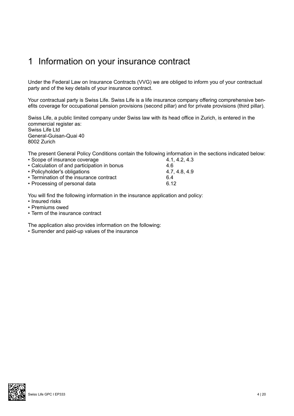# 1 Information on your insurance contract

Under the Federal Law on Insurance Contracts (VVG) we are obliged to inform you of your contractual party and of the key details of your insurance contract.

Your contractual party is Swiss Life. Swiss Life is a life insurance company offering comprehensive benefits coverage for occupational pension provisions (second pillar) and for private provisions (third pillar).

Swiss Life, a public limited company under Swiss law with its head office in Zurich, is entered in the commercial register as: Swiss Life Ltd General-Guisan-Quai 40 8002 Zurich

The present General Policy Conditions contain the following information in the sections indicated below:

| • Scope of insurance coverage               | 4.1, 4.2, 4.3 |
|---------------------------------------------|---------------|
| • Calculation of and participation in bonus | 4.6           |
| • Policyholder's obligations                | 4.7, 4.8, 4.9 |
| • Termination of the insurance contract     | 6.4           |
| • Processing of personal data               | 6.12          |

You will find the following information in the insurance application and policy:

- Insured risks
- Premiums owed
- Term of the insurance contract

The application also provides information on the following:

• Surrender and paid-up values of the insurance

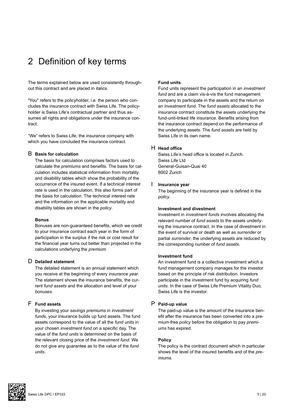# 2 Definition of key terms

The terms explained below are used consistently throughout this contract and are placed in italics.

"You" refers to the policyholder, i.e. the person who concludes the insurance contract with Swiss Life. The policyholder is Swiss Life's contractual partner and thus assumes all rights and obligations under the insurance contract.

"We" refers to Swiss Life, the insurance company with which you have concluded the insurance contract.

#### B **Basis for calculation**

The basis for calculation comprises factors used to calculate the *premiums* and benefits. The basis for calculation includes statistical information from mortality and disability tables which show the probability of the occurrence of the insured event. If a technical interest rate is used in the calculation, this also forms part of the basis for calculation. The technical interest rate and the information on the applicable mortality and disability tables are shown in the *policy*.

#### **Bonus**

Bonuses are non-guaranteed benefits, which we credit to your insurance contract each year in the form of participation in the surplus if the risk or cost result for the financial year turns out better than projected in the calculations underlying the *premium*.

# D **Detailed statement**

The detailed statement is an annual statement which you receive at the beginning of every *insurance year*. The statement shows the insurance benefits, the current *fund assets* and the allocation and level of your *bonuses*.

# F **Fund assets**

By investing your *savings premiums* in *investment funds*, your insurance builds up fund assets. The fund assets correspond to the value of all the *fund units* in your chosen *investment fund* on a specific day. The value of the *fund units* is determined on the basis of the relevant closing price of the *investment fund*. We do not give any guarantee as to the value of the *fund units*.

#### **Fund units**

Fund units represent the participation in an *investment fund* and are a claim vis-à-vis the fund management company to participate in the assets and the return on an *investment fund*. The *fund assets* allocated to the insurance contract constitute the assets underlying the fund-unit-linked life insurance. Benefits arising from the insurance contract depend on the performance of the underlying assets. The *fund assets* are held by Swiss Life in its own name.

# H **Head office**

Swiss Life's head office is located in Zurich. Swiss Life Ltd General-Guisan-Quai 40 8002 Zurich

# I **Insurance year**

The beginning of the insurance year is defined in the *policy*.

#### **Investment and divestment**

Investment in *investment funds* involves allocating the relevant number of *fund assets* to the assets underlying the insurance contract. In the case of divestment in the event of survival or death as well as *surrender* or partial *surrender*, the underlying assets are reduced by the corresponding number of *fund assets*.

#### **Investment fund**

An investment fund is a collective investment which a fund management company manages for the investor based on the principle of risk distribution. Investors participate in the investment fund by acquiring *fund units*. In the case of Swiss Life Premium Vitality Duo, Swiss Life is the investor.

# P **Paid-up value**

The paid-up value is the amount of the insurance benefit after the insurance has been converted into a premium-free *policy* before the obligation to pay *premiums* has expired.

#### **Policy**

The policy is the contract document which in particular shows the level of the insured benefits and of the *premiums*.

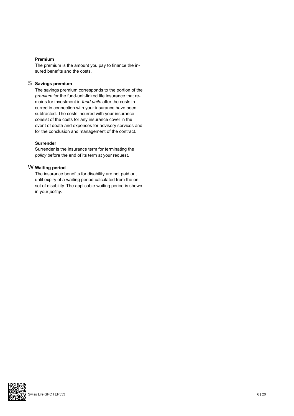#### **Premium**

The premium is the amount you pay to finance the insured benefits and the costs.

# S **Savings premium**

The savings premium corresponds to the portion of the *premium* for the fund-unit-linked life insurance that remains for investment in *fund units* after the costs incurred in connection with your insurance have been subtracted. The costs incurred with your insurance consist of the costs for any insurance cover in the event of death and expenses for advisory services and for the conclusion and management of the contract.

### **Surrender**

Surrender is the insurance term for terminating the *policy* before the end of its term at your request.

# W **Waiting period**

The insurance benefits for disability are not paid out until expiry of a waiting period calculated from the onset of disability. The applicable waiting period is shown in your *policy*.

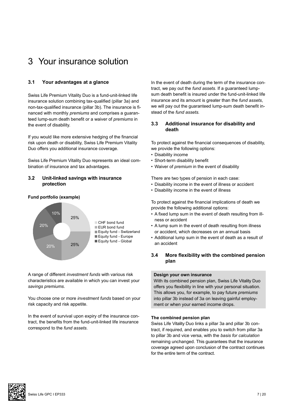# 3 Your insurance solution

# **3.1 Your advantages at a glance**

Swiss Life Premium Vitality Duo is a fund-unit-linked life insurance solution combining tax-qualified (pillar 3a) and non-tax-qualified insurance (pillar 3b). The insurance is financed with monthly *premiums* and comprises a guaranteed lump-sum death benefit or a waiver of *premiums* in the event of disability.

If you would like more extensive hedging of the financial risk upon death or disability, Swiss Life Premium Vitality Duo offers you additional insurance coverage.

Swiss Life Premium Vitality Duo represents an ideal combination of insurance and tax advantages.

# **3.2 Unit-linked savings with insurance protection**

# **Fund portfolio (example)**



A range of different *investment funds* with various risk characteristics are available in which you can invest your *savings premiums*.

You choose one or more *investment funds* based on your risk capacity and risk appetite.

In the event of survival upon expiry of the insurance contract, the benefits from the fund-unit-linked life insurance correspond to the *fund assets*.

In the event of death during the term of the insurance contract, we pay out the *fund assets*. If a guaranteed lumpsum death benefit is insured under the fund-unit-linked life insurance and its amount is greater than the *fund assets*, we will pay out the guaranteed lump-sum death benefit instead of the *fund assets.* 

# **3.3 Additional insurance for disability and death**

To protect against the financial consequences of disability, we provide the following options:

- Disability income
- Short-term disability benefit
- Waiver of *premium* in the event of disability

There are two types of pension in each case:

- Disability income in the event of illness or accident
- Disability income in the event of illness

To protect against the financial implications of death we provide the following additional options:

- A fixed lump sum in the event of death resulting from illness or accident
- A lump sum in the event of death resulting from illness or accident, which decreases on an annual basis
- Additional lump sum in the event of death as a result of an accident

# **3.4 More flexibility with the combined pension plan**

### **Design your own insurance**

With its combined pension plan, Swiss Life Vitality Duo offers you flexibility in line with your personal situation. This allows you, for example, to pay future *premiums*  into pillar 3b instead of 3a on leaving gainful employment or when your earned income drops.

#### **The combined pension plan**

Swiss Life Vitality Duo links a pillar 3a and pillar 3b contract, if required, and enables you to switch from pillar 3a to pillar 3b and vice versa, with the *basis for calculation* remaining unchanged. This guarantees that the insurance coverage agreed upon conclusion of the contract continues for the entire term of the contract.

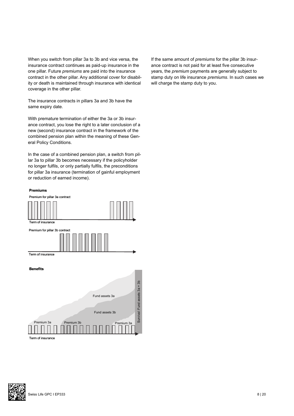When you switch from pillar 3a to 3b and vice versa, the insurance contract continues as paid-up insurance in the one pillar. Future *premiums* are paid into the insurance contract in the other pillar. Any additional cover for disability or death is maintained through insurance with identical coverage in the other pillar.

The insurance contracts in pillars 3a and 3b have the same expiry date.

With premature termination of either the 3a or 3b insurance contract, you lose the right to a later conclusion of a new (second) insurance contract in the framework of the combined pension plan within the meaning of these General Policy Conditions.

In the case of a combined pension plan, a switch from pillar 3a to pillar 3b becomes necessary if the policyholder no longer fulfils, or only partially fulfils, the preconditions for pillar 3a insurance (termination of gainful employment or reduction of earned income).

#### **Premiums**



Term of insurance

 $\mu$  small small small small small small small small small small small small small small small small small small small small small small small small small small small small small small small small small small small small

If the same amount of *premiums* for the pillar 3b insurance contract is not paid for at least five consecutive years, the *premium* payments are generally subject to stamp duty on life insurance *premiums*. In such cases we will charge the stamp duty to you.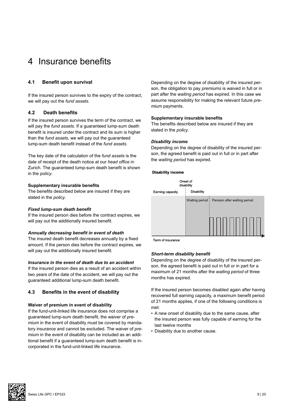# 4 Insurance benefits

# **4.1 Benefit upon survival**

If the insured person survives to the expiry of the contract, we will pay out the *fund assets*.

# **4.2 Death benefits**

If the insured person survives the term of the contract, we will pay the *fund assets*. If a guaranteed lump-sum death benefit is insured under the contract and its sum is higher than the *fund assets*, we will pay out the guaranteed lump-sum death benefit instead of the *fund assets*.

The key date of the calculation of the *fund assets* is the date of receipt of the death notice at our *head office* in Zurich. The guaranteed lump-sum death benefit is shown in the *policy*.

# **Supplementary insurable benefits**

The benefits described below are insured if they are stated in the *policy*.

#### *Fixed lump-sum death benefit*

If the insured person dies before the contract expires, we will pay out the additionally insured benefit.

# *Annually decreasing benefit in event of death*

The insured death benefit decreases annually by a fixed amount. If the person dies before the contract expires, we will pay out the additionally insured benefit.

#### *Insurance in the event of death due to an accident*

If the insured person dies as a result of an accident within two years of the date of the accident, we will pay out the guaranteed additional lump-sum death benefit.

# **4.3 Benefits in the event of disability**

#### **Waiver of premium in event of disability**

If the fund-unit-linked life insurance does not comprise a guaranteed lump-sum death benefit, the waiver of *premium* in the event of disability must be covered by mandatory insurance and cannot be excluded. The waiver of *premium* in the event of disability can be included as an additional benefit if a guaranteed lump-sum death benefit is incorporated in the fund-unit-linked life insurance.

Depending on the degree of disability of the insured person, the obligation to pay *premiums* is waived in full or in part after the *waiting period* has expired. In this case we assume responsibility for making the relevant future *premium* payments.

#### **Supplementary insurable benefits**

The benefits described below are insured if they are stated in the *policy*.

# *Disability income*

Depending on the degree of disability of the insured person, the agreed benefit is paid out in full or in part after the *waiting period* has expired.

#### **Disability income**



Term of insurance

# *Short-term disability benefit*

Depending on the degree of disability of the insured person, the agreed benefit is paid out in full or in part for a maximum of 21 months after the *waiting period* of three months has expired.

If the insured person becomes disabled again after having recovered full earning capacity, a maximum benefit period of 21 months applies, if one of the following conditions is met:

- A new onset of disability due to the same cause, after the insured person was fully capable of earning for the last twelve months
- Disability due to another cause.

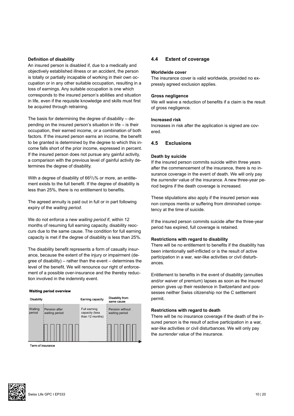#### **Definition of disability**

An insured person is disabled if, due to a medically and objectively established illness or an accident, the person is totally or partially incapable of working in their own occupation or in any other suitable occupation, resulting in a loss of earnings. Any suitable occupation is one which corresponds to the insured person's abilities and situation in life, even if the requisite knowledge and skills must first be acquired through retraining.

The basis for determining the degree of disability – depending on the insured person's situation in life – is their occupation, their earned income, or a combination of both factors. If the insured person earns an income, the benefit to be granted is determined by the degree to which this income falls short of the prior income, expressed in percent. If the insured person does not pursue any gainful activity, a comparison with the previous level of gainful activity determines the degree of disability.

With a degree of disability of 66<sup>2</sup>/<sub>3</sub>% or more, an entitlement exists to the full benefit. If the degree of disability is less than 25%, there is no entitlement to benefits.

The agreed annuity is paid out in full or in part following expiry of the *waiting period*.

We do not enforce a new *waiting period* if, within 12 months of resuming full earning capacity, disability reoccurs due to the same cause. The condition for full earning capacity is met if the degree of disability is less than 25%.

The disability benefit represents a form of casualty insurance, because the extent of the injury or impairment (degree of disability) – rather than the event – determines the level of the benefit. We will renounce our right of enforcement of a possible over-insurance and the thereby reduction involved in the indemnity event.

#### **Waiting period overview**



Term of insurance

#### **4.4 Extent of coverage**

#### **Worldwide cover**

The insurance cover is valid worldwide, provided no expressly agreed exclusion applies.

#### **Gross negligence**

We will waive a reduction of benefits if a claim is the result of gross negligence.

#### **Increased risk**

Increases in risk after the application is signed are covered.

# **4.5 Exclusions**

#### **Death by suicide**

If the insured person commits suicide within three years after the commencement of the insurance, there is no insurance coverage in the event of death. We will only pay the *surrender* value of the insurance. A new three-year period begins if the death coverage is increased.

These stipulations also apply if the insured person was non compos mentis or suffering from diminished competency at the time of suicide.

If the insured person commits suicide after the three-year period has expired, full coverage is retained.

#### **Restrictions with regard to disability**

There will be no entitlement to benefits if the disability has been intentionally self-inflicted or is the result of active participation in a war, war-like activities or civil disturbances.

Entitlement to benefits in the event of disability (annuities and/or waiver of premium) lapses as soon as the insured person gives up their residence in Switzerland and possesses neither Swiss citizenship nor the C settlement permit.

#### **Restrictions with regard to death**

There will be no insurance coverage if the death of the insured person is the result of active participation in a war, war-like activities or civil disturbances. We will only pay the *surrender* value of the insurance.

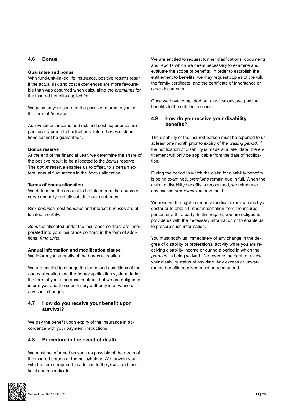### **4.6 Bonus**

#### **Guarantee and bonus**

With fund-unit-linked life insurance, positive returns result if the actual risk and cost experiences are more favourable than was assumed when calculating the *premiums* for the insured benefits applied for.

We pass on your share of the positive returns to you in the form of *bonuses*.

As investment income and risk and cost experience are particularly prone to fluctuations, future *bonus* distributions cannot be guaranteed.

#### **Bonus reserve**

At the end of the financial year, we determine the share of the positive result to be allocated to the *bonus* reserve. The *bonus* reserve enables us to offset, to a certain extent, annual fluctuations in the *bonus* allocation.

#### **Terms of bonus allocation**

We determine the amount to be taken from the *bonus* reserve annually and allocate it to our customers.

Risk *bonuses*, cost *bonuses* and interest *bonuses* are allocated monthly.

*Bonuses* allocated under the insurance contract are incorporated into your insurance contract in the form of additional *fund units*.

### **Annual information and modification clause**

We inform you annually of the *bonus* allocation.

We are entitled to change the terms and conditions of the *bonus* allocation and the *bonus* application system during the term of your insurance contract, but we are obliged to inform you and the supervisory authority in advance of any such changes.

# **4.7 How do you receive your benefit upon survival?**

We pay the benefit upon expiry of the insurance in accordance with your payment instructions.

# **4.8 Procedure in the event of death**

We must be informed as soon as possible of the death of the insured person or the policyholder. We provide you with the forms required in addition to the *policy* and the official death certificate.



We are entitled to request further clarifications, documents and reports which we deem necessary to examine and evaluate the scope of benefits. In order to establish the entitlement to benefits, we may request copies of the will, the family certificate, and the certificate of inheritance or other documents.

Once we have completed our clarifications, we pay the benefits to the entitled persons.

# **4.9 How do you receive your disability benefits?**

The disability of the insured person must be reported to us at least one month prior to expiry of the *waiting period*. If the notification of disability is made at a later date, the entitlement will only be applicable from the date of notification.

During the period in which the claim for disability benefits is being examined, *premiums* remain due in full. When the claim to disability benefits is recognised, we reimburse any excess *premiums* you have paid.

We reserve the right to request medical examinations by a doctor or to obtain further information from the insured person or a third party. In this regard, you are obliged to provide us with the necessary information or to enable us to procure such information.

You must notify us immediately of any change in the degree of disability or professional activity while you are receiving disability income or during a period in which the *premium* is being waived. We reserve the right to review your disability status at any time. Any excess or unwarranted benefits received must be reimbursed.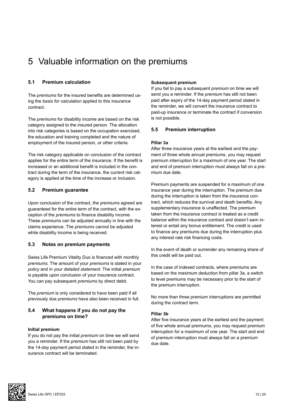# 5 Valuable information on the premiums

# **5.1 Premium calculation**

The *premiums* for the insured benefits are determined using the *basis for calculation* applied to this insurance contract.

The *premiums* for disability income are based on the risk category assigned to the insured person. The allocation into risk categories is based on the occupation exercised, the education and training completed and the nature of employment of the insured person, or other criteria.

The risk category applicable on conclusion of the contract applies for the entire term of the insurance. If the benefit is increased or an additional benefit is included in the contract during the term of the insurance, the current risk category is applied at the time of the increase or inclusion.

# **5.2 Premium guarantee**

Upon conclusion of the contract, the *premiums* agreed are guaranteed for the entire term of the contract, with the exception of the *premiums* to finance disability income. These *premiums* can be adjusted annually in line with the claims experience. The *premiums* cannot be adjusted while disability income is being received.

# **5.3 Notes on premium payments**

Swiss Life Premium Vitality Duo is financed with monthly *premiums*. The amount of your *premiums* is stated in your *policy* and in your *detailed statement*. The initial *premium* is payable upon conclusion of your insurance contract. You can pay subsequent *premiums* by direct debit.

The *premium* is only considered to have been paid if all previously due *premiums* have also been received in full.

# **5.4 What happens if you do not pay the premiums on time?**

#### **Initial premium**

If you do not pay the initial *premium* on time we will send you a reminder. If the *premium* has still not been paid by the 14-day payment period stated in the reminder, the insurance contract will be terminated.

#### **Subsequent premium**

If you fail to pay a subsequent *premium* on time we will send you a reminder. If the *premium* has still not been paid after expiry of the 14-day payment period stated in the reminder, we will convert the insurance contract to paid-up insurance or terminate the contract if conversion is not possible.

# **5.5 Premium interruption**

# **Pillar 3a**

After three insurance years at the earliest and the payment of three whole annual premiums, you may request premium interruption for a maximum of one year. The start and end of premium interruption must always fall on a premium due date.

Premium payments are suspended for a maximum of one insurance year during the interruption. The premium due during the interruption is taken from the insurance contract, which reduces the survival and death benefits. Any supplementary insurance is unaffected. The premium taken from the insurance contract is treated as a credit balance within the insurance contract and doesn't earn interest or entail any bonus entitlement. The credit is used to finance any premiums due during the interruption plus any interest rate risk financing costs.

In the event of death or surrender any remaining share of this credit will be paid out.

In the case of indexed contracts, where premiums are based on the maximum deduction from pillar 3a, a switch to level premiums may be necessary prior to the start of the premium interruption.

No more than three premium interruptions are permitted during the contract term.

#### **Pillar 3b**

After five insurance years at the earliest and the payment of five whole annual premiums, you may request premium interruption for a maximum of one year. The start and end of premium interruption must always fall on a premium due date.

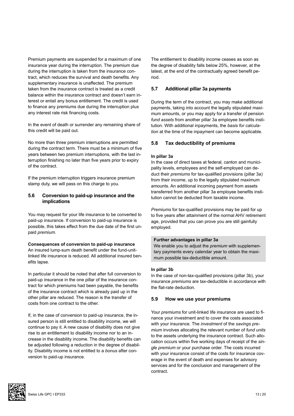Premium payments are suspended for a maximum of one insurance year during the interruption. The premium due during the interruption is taken from the insurance contract, which reduces the survival and death benefits. Any supplementary insurance is unaffected. The premium taken from the insurance contract is treated as a credit balance within the insurance contract and doesn't earn interest or entail any bonus entitlement. The credit is used to finance any premiums due during the interruption plus any interest rate risk financing costs.

In the event of death or surrender any remaining share of this credit will be paid out.

No more than three premium interruptions are permitted during the contract term. There must be a minimum of five years between two premium interruptions, with the last interruption finishing no later than five years prior to expiry of the contract.

If the premium interruption triggers insurance premium stamp duty, we will pass on this charge to you.

# **5.6 Conversion to paid-up insurance and the implications**

You may request for your life insurance to be converted to paid-up insurance. If conversion to paid-up insurance is possible, this takes effect from the due date of the first unpaid *premium*.

#### **Consequences of conversion to paid-up insurance**

An insured lump-sum death benefit under the fund-unitlinked life insurance is reduced. All additional insured benefits lapse.

In particular it should be noted that after full conversion to paid-up insurance in the one pillar of the insurance contract for which premiums had been payable, the benefits of the insurance contract which is already paid up in the other pillar are reduced. The reason is the transfer of costs from one contract to the other.

If, in the case of conversion to paid-up insurance, the insured person is still entitled to disability income, we will continue to pay it. A new cause of disability does not give rise to an entitlement to disability income nor to an increase in the disability income. The disability benefits can be adjusted following a reduction in the degree of disability. Disability income is not entitled to a *bonus* after conversion to paid-up insurance.

The entitlement to disability income ceases as soon as the degree of disability falls below 25%, however, at the latest, at the end of the contractually agreed benefit period.

#### **5.7 Additional pillar 3a payments**

During the term of the contract, you may make additional payments, taking into account the legally stipulated maximum amounts, or you may apply for a transfer of pension *fund assets* from another pillar 3a employee benefits institution. With additional inpayments, the *basis for calculation* at the time of the inpayment can become applicable.

#### **5.8 Tax deductibility of premiums**

#### **In pillar 3a**

In the case of direct taxes at federal, canton and municipality levels, employees and the self-employed can deduct their *premiums* for tax-qualified provisions (pillar 3a) from their income, up to the legally stipulated maximum amounts. An additional incoming payment from assets transferred from another pillar 3a employee benefits institution cannot be deducted from taxable income.

*Premiums* for tax-qualified provisions may be paid for up to five years after attainment of the normal AHV retirement age, provided that you can prove you are still gainfully employed.

#### **Further advantages in pillar 3a**

We enable you to adjust the *premium* with supplementary payments every calendar year to obtain the maximum possible tax-deductible amount.

#### **In pillar 3b**

In the case of non-tax-qualified provisions (pillar 3b), your insurance *premiums* are tax-deductible in accordance with the flat-rate deduction.

#### **5.9 How we use your premiums**

Your *premiums* for unit-linked life insurance are used to finance your investment and to cover the costs associated with your insurance. The *investment* of the *savings premium* involves allocating the relevant number of *fund units* to the assets underlying the insurance contract. Such allocation occurs within five working days of receipt of the *single premium* or your purchase order. The costs incurred with your insurance consist of the costs for insurance coverage in the event of death and expenses for advisory services and for the conclusion and management of the contract.

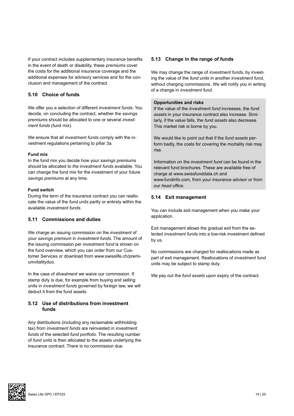If your contract includes supplementary insurance benefits in the event of death or disability, these *premiums* cover the costs for the additional insurance coverage and the additional expenses for advisory services and for the conclusion and management of the contract.

# **5.10 Choice of funds**

We offer you a selection of different *investment funds*. You decide, on concluding the contract, whether the *savings premiums* should be allocated to one or several *investment funds* (fund mix).

We ensure that all *investment funds* comply with the investment regulations pertaining to pillar 3a.

# **Fund mix**

In the fund mix you decide how your *savings premiums* should be allocated to *the investment funds* available. You can change the fund mix for the investment of your future *savings premiums* at any time.

# **Fund switch**

During the term of the insurance contract you can reallocate the value of the *fund units* partly or entirely within the available *investment funds*.

# **5.11 Commissions and duties**

We charge an issuing commission on the *investment* of your *savings premium* in *investment funds*. The amount of the issuing commission per *investment fund* is shown on the fund overview, which you can order from our Customer Services or download from www.swisslife.ch/premiumvitalityduo.

In the case of *divestment* we waive our commission. If stamp duty is due, for example from buying and selling units in *investment funds* governed by foreign law, we will deduct it from the fund assets.

# **5.12 Use of distributions from investment funds**

Any distributions (including any reclaimable withholding tax) from *investment funds* are reinvested in *investment funds* of the selected *fund portfolio*. The resulting number of *fund units* is then allocated to the assets underlying the insurance contract. There is no commission due.

# **5.13 Change in the range of funds**

We may change the range of *investment funds*, by investing the value of the *fund units* in another *investment fund*, without charging commissions. We will notify you in writing of a change in *investment fund*.

#### **Opportunities and risks**

If the value of the *investment fund* increases, the *fund assets* in your insurance contract also increase. Similarly, if the value falls, the *fund assets* also decrease. This market risk is borne by you.

We would like to point out that if the *fund assets* perform badly, the costs for covering the mortality risk may rise.

Information on the *investment fund* can be found in the relevant fund brochures. These are available free of charge at www.swissfunddata.ch and www.fundinfo.com, from your insurance advisor or from our *head office*.

# **5.14 Exit management**

You can include exit management when you make your application.

Exit management allows the gradual exit from the selected *investment funds* into a low-risk investment defined by us.

No commissions are charged for reallocations made as part of exit management. Reallocations of *investment fund* units may be subject to stamp duty.

We pay out the *fund assets* upon expiry of the contract.

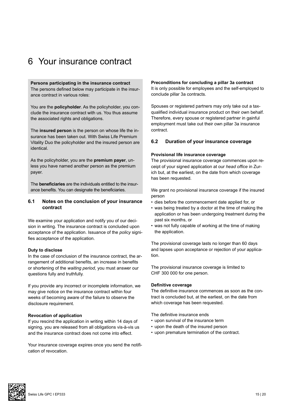# 6 Your insurance contract

#### **Persons participating in the insurance contract**

The persons defined below may participate in the insurance contract in various roles:

You are the **policyholder**. As the policyholder, you conclude the insurance contract with us. You thus assume the associated rights and obligations.

The **insured person** is the person on whose life the insurance has been taken out. With Swiss Life Premium Vitality Duo the policyholder and the insured person are identical.

As the policyholder, you are the **premium payer**, unless you have named another person as the premium payer.

The **beneficiaries** are the individuals entitled to the insurance benefits. You can designate the beneficiaries.

# **6.1 Notes on the conclusion of your insurance contract**

We examine your application and notify you of our decision in writing. The insurance contract is concluded upon acceptance of the application. Issuance of the *policy* signifies acceptance of the application.

#### **Duty to disclose**

In the case of conclusion of the insurance contract, the arrangement of additional benefits, an increase in benefits or shortening of the *waiting period*, you must answer our questions fully and truthfully.

If you provide any incorrect or incomplete information, we may give notice on the insurance contract within four weeks of becoming aware of the failure to observe the disclosure requirement.

#### **Revocation of application**

If you rescind the application in writing within 14 days of signing, you are released from all obligations vis-à-vis us and the insurance contract does not come into effect.

Your insurance coverage expires once you send the notification of revocation.

#### **Preconditions for concluding a pillar 3a contract**

It is only possible for employees and the self-employed to conclude pillar 3a contracts.

Spouses or registered partners may only take out a taxqualified individual insurance product on their own behalf. Therefore, every spouse or registered partner in gainful employment must take out their own pillar 3a insurance contract.

# **6.2 Duration of your insurance coverage**

#### **Provisional life insurance coverage**

The provisional insurance coverage commences upon receipt of your signed application at our *head office* in Zurich but, at the earliest, on the date from which coverage has been requested.

We grant no provisional insurance coverage if the insured person

- dies before the commencement date applied for, or
- was being treated by a doctor at the time of making the application or has been undergoing treatment during the past six months, or
- was not fully capable of working at the time of making the application.

The provisional coverage lasts no longer than 60 days and lapses upon acceptance or rejection of your application.

The provisional insurance coverage is limited to CHF 300 000 for one person.

#### **Definitive coverage**

The definitive insurance commences as soon as the contract is concluded but, at the earliest, on the date from which coverage has been requested.

The definitive insurance ends

- upon survival of the insurance term
- upon the death of the insured person
- upon premature termination of the contract.

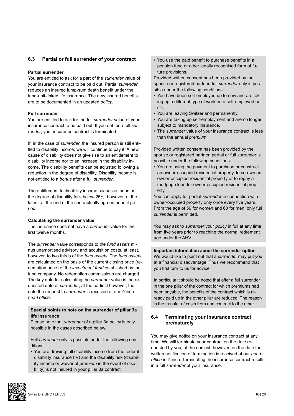# **6.3 Partial or full surrender of your contract**

#### **Partial surrender**

You are entitled to ask for a part of the *surrender* value of your insurance contract to be paid out. Partial *surrender* reduces an insured lump-sum death benefit under the fund-unit-linked life insurance. The new insured benefits are to be documented in an updated *policy*.

#### **Full surrender**

You are entitled to ask for the full *surrender* value of your insurance contract to be paid out. If you opt for a full *surrender*, your insurance contract is terminated.

If, in the case of *surrender*, the insured person is still entitled to disability income, we will continue to pay it. A new cause of disability does not give rise to an entitlement to disability income nor to an increase in the disability income. The disability benefits can be adjusted following a reduction in the degree of disability. Disability income is not entitled to a *bonus* after a full *surrender*.

The entitlement to disability income ceases as soon as the degree of disability falls below 25%, however, at the latest, at the end of the contractually agreed benefit period.

#### **Calculating the surrender value**

The insurance does not have a *surrender* value for the first twelve months.

The *surrender* value corresponds to the *fund assets* minus unamortised advisory and acquisition costs, at least, however, to two thirds of the *fund assets*. The *fund assets* are calculated on the basis of the current closing price (redemption price) of the *investment fund* established by the fund company. No redemption commissions are charged. The key date for calculating the *surrender* value is the requested date of *surrender*; at the earliest however, the date the request to *surrender* is received at our Zurich *head office*.

#### **Special points to note on the surrender of pillar 3a life insurance**

Please note that *surrender* of a pillar 3a policy is only possible in the cases described below.

Full *surrender* only is possible under the following conditions:

• You are drawing full disability income from the federal disability insurance (IV) and the disability risk (disability income or waiver of *premium* in the event of disability) is not insured in your pillar 3a contract,

• You use the paid benefit to purchase benefits in a pension fund or other legally recognised form of future provisions.

Provided written consent has been provided by the spouse or registered partner, full *surrender* only is possible under the following conditions:

- You have been self-employed up to now and are taking up a different type of work on a self-employed basis.
- You are leaving Switzerland permanently.
- You are taking up self-employment and are no longer subject to mandatory insurance.
- The *surrender* value of your insurance contract is less than the annual *premium*.

Provided written consent has been provided by the spouse or registered partner, partial or full *surrender* is possible under the following conditions:

• You are using the payment to purchase or construct an owner-occupied residential property, to co-own an owner-occupied residential property or to repay a mortgage loan for owner-occupied residential property.

You can apply for partial *surrender* in connection with owner-occupied property only once every five years. From the age of 59 for women and 60 for men, only full *surrender* is permitted.

You may ask to *surrender* your *policy* in full at any time from five years prior to reaching the normal retirement age under the AHV.

**Important information about the surrender option**  We would like to point out that a *surrender* may put you at a financial disadvantage. Thus we recommend that you first turn to us for advice.

In particular it should be noted that after a full surrender in the one pillar of the contract for which premiums had been payable, the benefits of the contract which is already paid up in the other pillar are reduced. The reason is the transfer of costs from one contract to the other.

# **6.4 Terminating your insurance contract prematurely**

You may give notice on your insurance contract at any time. We will terminate your contract on the date requested by you, at the earliest, however, on the date the written notification of termination is received at our *head office* in Zurich. Terminating the insurance contract results in a full *surrender* of your insurance.

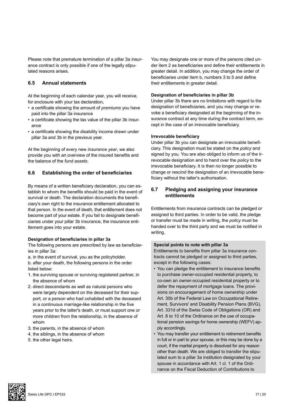Please note that premature termination of a pillar 3a insurance contract is only possible if one of the legally stipulated reasons arises.

# **6.5 Annual statements**

At the beginning of each calendar year, you will receive, for enclosure with your tax declaration,

- a certificate showing the amount of *premiums* you have paid into the pillar 3a insurance
- a certificate showing the tax value of the pillar 3b insurance
- a certificate showing the disability income drawn under pillar 3a and 3b in the previous year.

At the beginning of every new *insurance year*, we also provide you with an overview of the insured benefits and the balance of the *fund assets*.

# **6.6 Establishing the order of beneficiaries**

By means of a written beneficiary declaration, you can establish to whom the benefits should be paid in the event of survival or death. The declaration documents the beneficiary's own right to the insurance entitlement allocated to that person. In the event of death, that entitlement does not become part of your estate. If you fail to designate beneficiaries under your pillar 3b insurance, the insurance entitlement goes into your estate.

#### **Designation of beneficiaries in pillar 3a**

The following persons are prescribed by law as beneficiaries in pillar 3a:

a. in the event of survival, you as the policyholder.

b. after your death, the following persons in the order listed below:

- 1. the surviving spouse or surviving registered partner, in the absence of whom
- 2. direct descendants as well as natural persons who were largely dependent on the deceased for their support, or a person who had cohabited with the deceased in a continuous marriage-like relationship in the five years prior to the latter's death, or must support one or more children from the relationship, in the absence of whom
- 3. the parents, in the absence of whom
- 4. the siblings, in the absence of whom
- 5. the other legal heirs.

You may designate one or more of the persons cited under item 2 as beneficiaries and define their entitlements in greater detail. In addition, you may change the order of beneficiaries under item b, numbers 3 to 5 and define their entitlements in greater detail.

#### **Designation of beneficiaries in pillar 3b**

Under pillar 3b there are no limitations with regard to the designation of beneficiaries, and you may change or revoke a beneficiary designated at the beginning of the insurance contract at any time during the contract term, except in the case of an irrevocable beneficiary.

#### **Irrevocable beneficiary**

Under pillar 3b you can designate an irrevocable beneficiary. This designation must be stated on the *policy* and signed by you. You are also obliged to inform us of the irrevocable designation and to hand over the *policy* to the irrevocable beneficiary. It is then no longer possible to change or rescind the designation of an irrevocable beneficiary without the latter's authorisation.

# **6.7 Pledging and assigning your insurance entitlements**

Entitlements from insurance contracts can be pledged or assigned to third parties. In order to be valid, the pledge or transfer must be made in writing, the *policy* must be handed over to the third party and we must be notified in writing.

#### **Special points to note with pillar 3a**

Entitlements to benefits from pillar 3a insurance contracts cannot be pledged or assigned to third parties, except in the following cases:

- You can pledge the entitlement to insurance benefits to purchase owner-occupied residential property, to co-own an owner-occupied residential property or to defer the repayment of mortgage loans. The provisions on encouragement of home ownership under Art. 30b of the Federal Law on Occupational Retirement, Survivors' and Disability Pension Plans (BVG), Art. 331d of the Swiss Code of Obligations (OR) and Art. 8 to 10 of the Ordinance on the use of occupational pension savings for home ownership (WEFV) apply accordingly.
- You may transfer your entitlement to retirement benefits in full or in part to your spouse, or this may be done by a court, if the marital property is dissolved for any reason other than death. We are obliged to transfer the stipulated sum to a pillar 3a institution designated by your spouse in accordance with Art. 1 cl. 1 of the Ordinance on the Fiscal Deduction of Contributions to

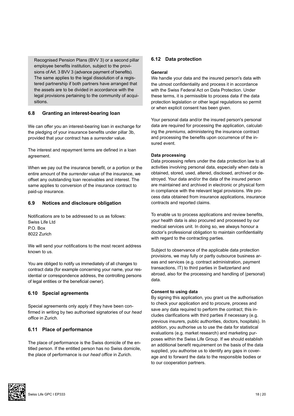Recognised Pension Plans (BVV 3) or a second pillar employee benefits institution, subject to the provisions of Art. 3 BVV 3 (advance payment of benefits). The same applies to the legal dissolution of a registered partnership if both partners have arranged that the assets are to be divided in accordance with the legal provisions pertaining to the community of acquisitions.

# **6.8 Granting an interest-bearing loan**

We can offer you an interest-bearing loan in exchange for the pledging of your insurance benefits under pillar 3b, provided that your contract has a *surrender* value.

The interest and repayment terms are defined in a loan agreement.

When we pay out the insurance benefit, or a portion or the entire amount of the *surrender* value of the insurance, we offset any outstanding loan receivables and interest. The same applies to conversion of the insurance contract to paid-up insurance.

# **6.9 Notices and disclosure obligation**

Notifications are to be addressed to us as follows: Swiss Life Ltd P.O. Box 8022 Zurich

We will send your notifications to the most recent address known to us.

You are obliged to notify us immediately of all changes to contract data (for example concerning your name, your residential or correspondence address, the controlling persons of legal entities or the beneficial owner).

# **6.10 Special agreements**

Special agreements only apply if they have been confirmed in writing by two authorised signatories of our *head office* in Zurich.

# **6.11 Place of performance**

The place of performance is the Swiss domicile of the entitled person. If the entitled person has no Swiss domicile, the place of performance is our *head office* in Zurich.

# **6.12 Data protection**

# **General**

We handle your data and the insured person's data with the utmost confidentiality and process it in accordance with the Swiss Federal Act on Data Protection. Under these terms, it is permissible to process data if the data protection legislation or other legal regulations so permit or when explicit consent has been given.

Your personal data and/or the insured person's personal data are required for processing the application, calculating the *premiums*, administering the insurance contract and processing the benefits upon occurrence of the insured event.

# **Data processing**

Data processing refers under the data protection law to all activities involving personal data, especially when data is obtained, stored, used, altered, disclosed, archived or destroyed. Your data and/or the data of the insured person are maintained and archived in electronic or physical form in compliance with the relevant legal provisions. We process data obtained from insurance applications, insurance contracts and reported claims.

To enable us to process applications and review benefits, your health data is also procured and processed by our medical services unit. In doing so, we always honour a doctor's professional obligation to maintain confidentiality with regard to the contracting parties.

Subject to observance of the applicable data protection provisions, we may fully or partly outsource business areas and services (e.g. contract administration, payment transactions, IT) to third parties in Switzerland and abroad, also for the processing and handling of (personal) data.

#### **Consent to using data**

By signing this application, you grant us the authorisation to check your application and to procure, process and save any data required to perform the contract; this includes clarifications with third parties if necessary (e.g. previous insurers, public authorities, doctors, hospitals). In addition, you authorise us to use the data for statistical evaluations (e.g. market research) and marketing purposes within the Swiss Life Group. If we should establish an additional benefit requirement on the basis of the data supplied, you authorise us to identify any gaps in coverage and to forward the data to the responsible bodies or to our cooperation partners.

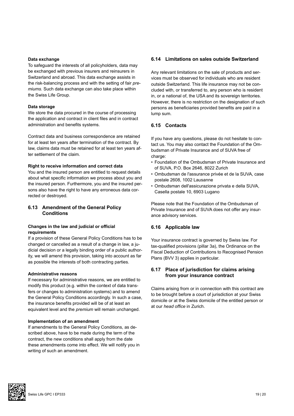#### **Data exchange**

To safeguard the interests of all policyholders, data may be exchanged with previous insurers and reinsurers in Switzerland and abroad. This data exchange assists in the risk-balancing process and with the setting of fair *premiums.* Such data exchange can also take place within the Swiss Life Group.

#### **Data storage**

We store the data procured in the course of processing the application and contract in client files and in contract administration and benefits systems.

Contract data and business correspondence are retained for at least ten years after termination of the contract. By law, claims data must be retained for at least ten years after settlement of the claim.

#### **Right to receive information and correct data**

You and the insured person are entitled to request details about what specific information we process about you and the insured person. Furthermore, you and the insured persons also have the right to have any erroneous data corrected or destroyed.

# **6.13 Amendment of the General Policy Conditions**

#### **Changes in the law and judicial or official requirements**

If a provision of these General Policy Conditions has to be changed or cancelled as a result of a change in law, a judicial decision or a legally binding order of a public authority, we will amend this provision, taking into account as far as possible the interests of both contracting parties.

#### **Administrative reasons**

If necessary for administrative reasons, we are entitled to modify this product (e.g. within the context of data transfers or changes to administration systems) and to amend the General Policy Conditions accordingly. In such a case, the insurance benefits provided will be of at least an equivalent level and the *premium* will remain unchanged.

#### **Implementation of an amendment**

If amendments to the General Policy Conditions, as described above, have to be made during the term of the contract, the new conditions shall apply from the date these amendments come into effect. We will notify you in writing of such an amendment.

### **6.14 Limitations on sales outside Switzerland**

Any relevant limitations on the sale of products and services must be observed for individuals who are resident outside Switzerland. This life insurance may not be concluded with, or transferred to, any person who is resident in, or a national of, the USA and its sovereign territories. However, there is no restriction on the designation of such persons as beneficiaries provided benefits are paid in a lump sum.

# **6.15 Contacts**

If you have any questions, please do not hesitate to contact us. You may also contact the Foundation of the Ombudsman of Private Insurance and of SUVA free of charge:

- Foundation of the Ombudsman of Private Insurance and of SUVA, P.O. Box 2646, 8022 Zurich
- Ombudsman de l'assurance privée et de la SUVA, case postale 2608, 1002 Lausanne
- Ombudsman dell'assicurazione privata e della SUVA, Casella postale 10, 6903 Lugano

Please note that the Foundation of the Ombudsman of Private Insurance and of SUVA does not offer any insurance advisory services.

#### **6.16 Applicable law**

Your insurance contract is governed by Swiss law. For tax-qualified provisions (pillar 3a), the Ordinance on the Fiscal Deduction of Contributions to Recognised Pension Plans (BVV 3) applies in particular.

# **6.17 Place of jurisdiction for claims arising from your insurance contract**

Claims arising from or in connection with this contract are to be brought before a court of jurisdiction at your Swiss domicile or at the Swiss domicile of the entitled person or at our *head office* in Zurich.